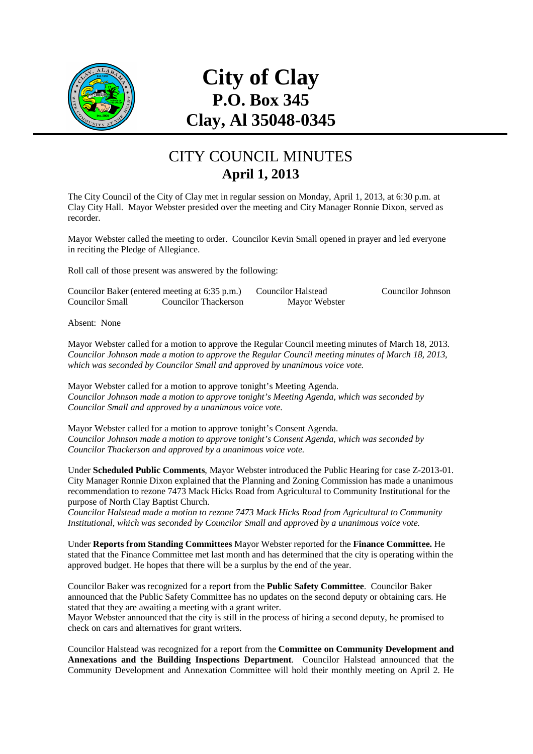

# **City of Clay P.O. Box 345 Clay, Al 35048-0345**

## CITY COUNCIL MINUTES **April 1, 2013**

The City Council of the City of Clay met in regular session on Monday, April 1, 2013, at 6:30 p.m. at Clay City Hall. Mayor Webster presided over the meeting and City Manager Ronnie Dixon, served as recorder.

Mayor Webster called the meeting to order. Councilor Kevin Small opened in prayer and led everyone in reciting the Pledge of Allegiance.

Roll call of those present was answered by the following:

|                 | Councilor Baker (entered meeting at 6:35 p.m.) | <b>Councilor Halstead</b> |  |
|-----------------|------------------------------------------------|---------------------------|--|
| Councilor Small | Councilor Thackerson                           | Mayor Webster             |  |

Councilor Johnson

Absent: None

Mayor Webster called for a motion to approve the Regular Council meeting minutes of March 18, 2013. *Councilor Johnson made a motion to approve the Regular Council meeting minutes of March 18, 2013, which was seconded by Councilor Small and approved by unanimous voice vote.* 

Mayor Webster called for a motion to approve tonight's Meeting Agenda. *Councilor Johnson made a motion to approve tonight's Meeting Agenda, which was seconded by Councilor Small and approved by a unanimous voice vote.* 

Mayor Webster called for a motion to approve tonight's Consent Agenda. *Councilor Johnson made a motion to approve tonight's Consent Agenda, which was seconded by Councilor Thackerson and approved by a unanimous voice vote.* 

Under **Scheduled Public Comments**, Mayor Webster introduced the Public Hearing for case Z-2013-01. City Manager Ronnie Dixon explained that the Planning and Zoning Commission has made a unanimous recommendation to rezone 7473 Mack Hicks Road from Agricultural to Community Institutional for the purpose of North Clay Baptist Church.

*Councilor Halstead made a motion to rezone 7473 Mack Hicks Road from Agricultural to Community Institutional, which was seconded by Councilor Small and approved by a unanimous voice vote.* 

Under **Reports from Standing Committees** Mayor Webster reported for the **Finance Committee.** He stated that the Finance Committee met last month and has determined that the city is operating within the approved budget. He hopes that there will be a surplus by the end of the year.

Councilor Baker was recognized for a report from the **Public Safety Committee**. Councilor Baker announced that the Public Safety Committee has no updates on the second deputy or obtaining cars. He stated that they are awaiting a meeting with a grant writer.

Mayor Webster announced that the city is still in the process of hiring a second deputy, he promised to check on cars and alternatives for grant writers.

Councilor Halstead was recognized for a report from the **Committee on Community Development and Annexations and the Building Inspections Department**. Councilor Halstead announced that the Community Development and Annexation Committee will hold their monthly meeting on April 2. He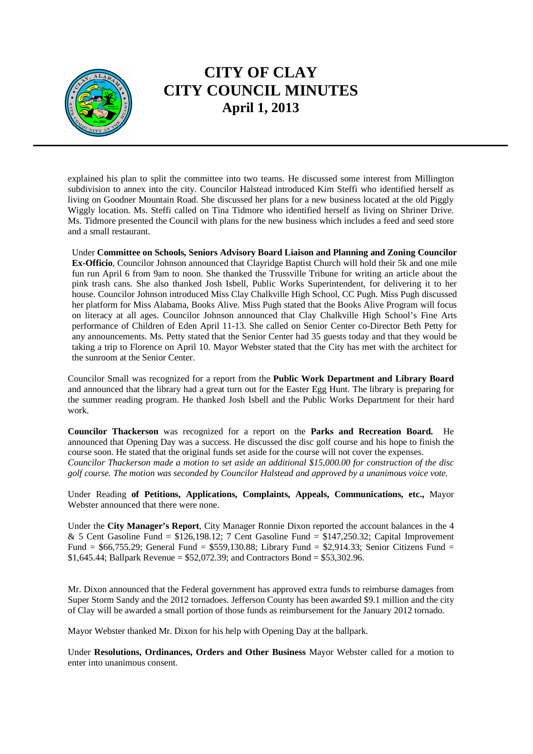

### **CITY OF CLAY CITY COUNCIL MINUTES April 1, 2013**

explained his plan to split the committee into two teams. He discussed some interest from Millington subdivision to annex into the city. Councilor Halstead introduced Kim Steffi who identified herself as living on Goodner Mountain Road. She discussed her plans for a new business located at the old Piggly Wiggly location. Ms. Steffi called on Tina Tidmore who identified herself as living on Shriner Drive. Ms. Tidmore presented the Council with plans for the new business which includes a feed and seed store and a small restaurant.

Under **Committee on Schools, Seniors Advisory Board Liaison and Planning and Zoning Councilor Ex-Officio**, Councilor Johnson announced that Clayridge Baptist Church will hold their 5k and one mile fun run April 6 from 9am to noon. She thanked the Trussville Tribune for writing an article about the pink trash cans. She also thanked Josh Isbell, Public Works Superintendent, for delivering it to her house. Councilor Johnson introduced Miss Clay Chalkville High School, CC Pugh. Miss Pugh discussed her platform for Miss Alabama, Books Alive. Miss Pugh stated that the Books Alive Program will focus on literacy at all ages. Councilor Johnson announced that Clay Chalkville High School's Fine Arts performance of Children of Eden April 11-13. She called on Senior Center co-Director Beth Petty for any announcements. Ms. Petty stated that the Senior Center had 35 guests today and that they would be taking a trip to Florence on April 10. Mayor Webster stated that the City has met with the architect for the sunroom at the Senior Center.

Councilor Small was recognized for a report from the **Public Work Department and Library Board** and announced that the library had a great turn out for the Easter Egg Hunt. The library is preparing for the summer reading program. He thanked Josh Isbell and the Public Works Department for their hard work.

**Councilor Thackerson** was recognized for a report on the **Parks and Recreation Board.** He announced that Opening Day was a success. He discussed the disc golf course and his hope to finish the course soon. He stated that the original funds set aside for the course will not cover the expenses. *Councilor Thackerson made a motion to set aside an additional \$15,000.00 for construction of the disc golf course. The motion was seconded by Councilor Halstead and approved by a unanimous voice vote.* 

Under Reading **of Petitions, Applications, Complaints, Appeals, Communications, etc.,** Mayor Webster announced that there were none.

Under the **City Manager's Report**, City Manager Ronnie Dixon reported the account balances in the 4 & 5 Cent Gasoline Fund =  $$126,198.12$ ; 7 Cent Gasoline Fund =  $$147,250.32$ ; Capital Improvement Fund =  $$66,755.29$ ; General Fund =  $$559,130.88$ ; Library Fund =  $$2,914.33$ ; Senior Citizens Fund = \$1,645.44; Ballpark Revenue = \$52,072.39; and Contractors Bond = \$53,302.96.

Mr. Dixon announced that the Federal government has approved extra funds to reimburse damages from Super Storm Sandy and the 2012 tornadoes. Jefferson County has been awarded \$9.1 million and the city of Clay will be awarded a small portion of those funds as reimbursement for the January 2012 tornado.

Mayor Webster thanked Mr. Dixon for his help with Opening Day at the ballpark.

Under **Resolutions, Ordinances, Orders and Other Business** Mayor Webster called for a motion to enter into unanimous consent.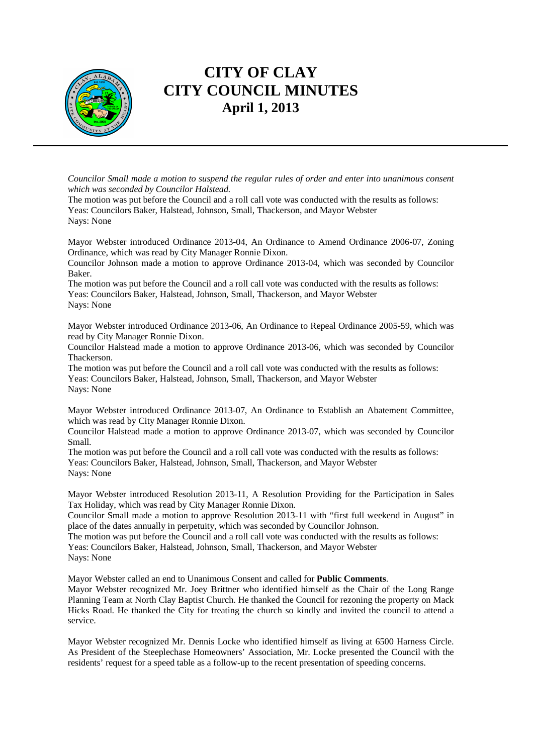

#### **CITY OF CLAY CITY COUNCIL MINUTES April 1, 2013**

*Councilor Small made a motion to suspend the regular rules of order and enter into unanimous consent which was seconded by Councilor Halstead.* 

The motion was put before the Council and a roll call vote was conducted with the results as follows: Yeas: Councilors Baker, Halstead, Johnson, Small, Thackerson, and Mayor Webster Nays: None

Mayor Webster introduced Ordinance 2013-04, An Ordinance to Amend Ordinance 2006-07, Zoning Ordinance, which was read by City Manager Ronnie Dixon.

Councilor Johnson made a motion to approve Ordinance 2013-04, which was seconded by Councilor Baker.

The motion was put before the Council and a roll call vote was conducted with the results as follows: Yeas: Councilors Baker, Halstead, Johnson, Small, Thackerson, and Mayor Webster Nays: None

Mayor Webster introduced Ordinance 2013-06, An Ordinance to Repeal Ordinance 2005-59, which was read by City Manager Ronnie Dixon.

Councilor Halstead made a motion to approve Ordinance 2013-06, which was seconded by Councilor Thackerson.

The motion was put before the Council and a roll call vote was conducted with the results as follows: Yeas: Councilors Baker, Halstead, Johnson, Small, Thackerson, and Mayor Webster Nays: None

Mayor Webster introduced Ordinance 2013-07, An Ordinance to Establish an Abatement Committee, which was read by City Manager Ronnie Dixon.

Councilor Halstead made a motion to approve Ordinance 2013-07, which was seconded by Councilor Small.

The motion was put before the Council and a roll call vote was conducted with the results as follows: Yeas: Councilors Baker, Halstead, Johnson, Small, Thackerson, and Mayor Webster Nays: None

Mayor Webster introduced Resolution 2013-11, A Resolution Providing for the Participation in Sales Tax Holiday, which was read by City Manager Ronnie Dixon.

Councilor Small made a motion to approve Resolution 2013-11 with "first full weekend in August" in place of the dates annually in perpetuity, which was seconded by Councilor Johnson.

The motion was put before the Council and a roll call vote was conducted with the results as follows: Yeas: Councilors Baker, Halstead, Johnson, Small, Thackerson, and Mayor Webster Nays: None

Mayor Webster called an end to Unanimous Consent and called for **Public Comments**.

Mayor Webster recognized Mr. Joey Brittner who identified himself as the Chair of the Long Range Planning Team at North Clay Baptist Church. He thanked the Council for rezoning the property on Mack Hicks Road. He thanked the City for treating the church so kindly and invited the council to attend a service.

Mayor Webster recognized Mr. Dennis Locke who identified himself as living at 6500 Harness Circle. As President of the Steeplechase Homeowners' Association, Mr. Locke presented the Council with the residents' request for a speed table as a follow-up to the recent presentation of speeding concerns.